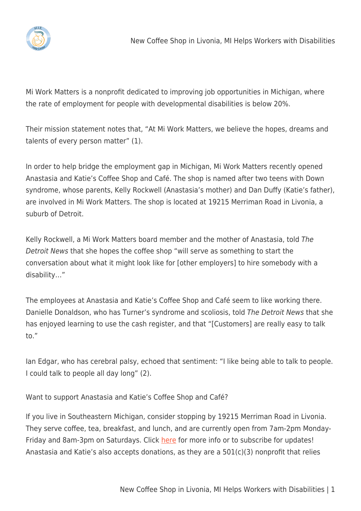

Mi Work Matters is a nonprofit dedicated to improving job opportunities in Michigan, where the rate of employment for people with developmental disabilities is below 20%.

Their mission statement notes that, "At Mi Work Matters, we believe the hopes, dreams and talents of every person matter" (1).

In order to help bridge the employment gap in Michigan, Mi Work Matters recently opened Anastasia and Katie's Coffee Shop and Café. The shop is named after two teens with Down syndrome, whose parents, Kelly Rockwell (Anastasia's mother) and Dan Duffy (Katie's father), are involved in Mi Work Matters. The shop is located at 19215 Merriman Road in Livonia, a suburb of Detroit.

Kelly Rockwell, a Mi Work Matters board member and the mother of Anastasia, told The Detroit News that she hopes the coffee shop "will serve as something to start the conversation about what it might look like for [other employers] to hire somebody with a disability…"

The employees at Anastasia and Katie's Coffee Shop and Café seem to like working there. Danielle Donaldson, who has Turner's syndrome and scoliosis, told The Detroit News that she has enjoyed learning to use the cash register, and that "[Customers] are really easy to talk to."

Ian Edgar, who has cerebral palsy, echoed that sentiment: "I like being able to talk to people. I could talk to people all day long" (2).

Want to support Anastasia and Katie's Coffee Shop and Café?

If you live in Southeastern Michigan, consider stopping by 19215 Merriman Road in Livonia. They serve coffee, tea, breakfast, and lunch, and are currently open from 7am-2pm MondayFriday and 8am-3pm on Saturdays. Click [here](https://www.miworkmatters.org/anastasiaandkaties) for more info or to subscribe for updates! Anastasia and Katie's also accepts donations, as they are a 501(c)(3) nonprofit that relies